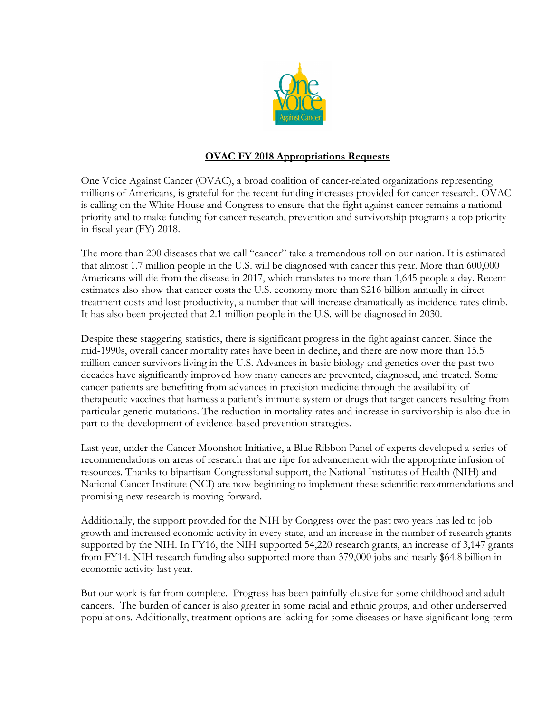

## **OVAC FY 2018 Appropriations Requests**

One Voice Against Cancer (OVAC), a broad coalition of cancer-related organizations representing millions of Americans, is grateful for the recent funding increases provided for cancer research. OVAC is calling on the White House and Congress to ensure that the fight against cancer remains a national priority and to make funding for cancer research, prevention and survivorship programs a top priority in fiscal year (FY) 2018.

The more than 200 diseases that we call "cancer" take a tremendous toll on our nation. It is estimated that almost 1.7 million people in the U.S. will be diagnosed with cancer this year. More than 600,000 Americans will die from the disease in 2017, which translates to more than 1,645 people a day. Recent estimates also show that cancer costs the U.S. economy more than \$216 billion annually in direct treatment costs and lost productivity, a number that will increase dramatically as incidence rates climb. It has also been projected that 2.1 million people in the U.S. will be diagnosed in 2030.

Despite these staggering statistics, there is significant progress in the fight against cancer. Since the mid-1990s, overall cancer mortality rates have been in decline, and there are now more than 15.5 million cancer survivors living in the U.S. Advances in basic biology and genetics over the past two decades have significantly improved how many cancers are prevented, diagnosed, and treated. Some cancer patients are benefiting from advances in precision medicine through the availability of therapeutic vaccines that harness a patient's immune system or drugs that target cancers resulting from particular genetic mutations. The reduction in mortality rates and increase in survivorship is also due in part to the development of evidence-based prevention strategies.

Last year, under the Cancer Moonshot Initiative, a Blue Ribbon Panel of experts developed a series of recommendations on areas of research that are ripe for advancement with the appropriate infusion of resources. Thanks to bipartisan Congressional support, the National Institutes of Health (NIH) and National Cancer Institute (NCI) are now beginning to implement these scientific recommendations and promising new research is moving forward.

Additionally, the support provided for the NIH by Congress over the past two years has led to job growth and increased economic activity in every state, and an increase in the number of research grants supported by the NIH. In FY16, the NIH supported 54,220 research grants, an increase of 3,147 grants from FY14. NIH research funding also supported more than 379,000 jobs and nearly \$64.8 billion in economic activity last year.

But our work is far from complete. Progress has been painfully elusive for some childhood and adult cancers. The burden of cancer is also greater in some racial and ethnic groups, and other underserved populations. Additionally, treatment options are lacking for some diseases or have significant long-term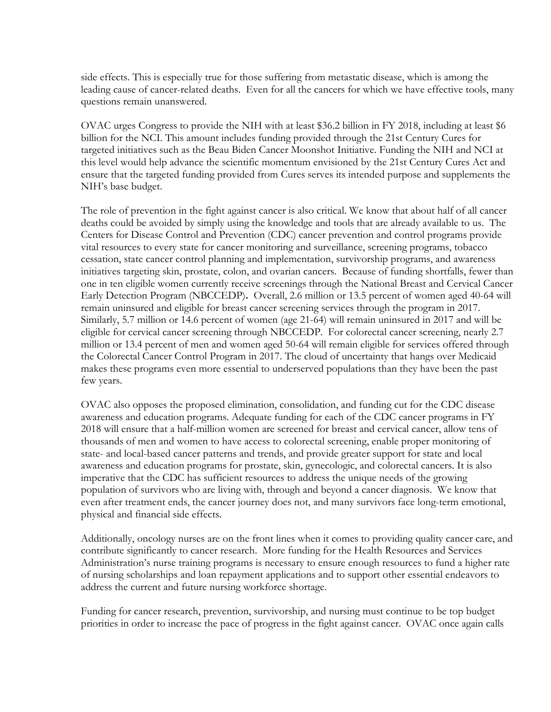side effects. This is especially true for those suffering from metastatic disease, which is among the leading cause of cancer-related deaths. Even for all the cancers for which we have effective tools, many questions remain unanswered.

OVAC urges Congress to provide the NIH with at least \$36.2 billion in FY 2018, including at least \$6 billion for the NCI. This amount includes funding provided through the 21st Century Cures for targeted initiatives such as the Beau Biden Cancer Moonshot Initiative. Funding the NIH and NCI at this level would help advance the scientific momentum envisioned by the 21st Century Cures Act and ensure that the targeted funding provided from Cures serves its intended purpose and supplements the NIH's base budget.

The role of prevention in the fight against cancer is also critical. We know that about half of all cancer deaths could be avoided by simply using the knowledge and tools that are already available to us. The Centers for Disease Control and Prevention (CDC) cancer prevention and control programs provide vital resources to every state for cancer monitoring and surveillance, screening programs, tobacco cessation, state cancer control planning and implementation, survivorship programs, and awareness initiatives targeting skin, prostate, colon, and ovarian cancers. Because of funding shortfalls, fewer than one in ten eligible women currently receive screenings through the National Breast and Cervical Cancer Early Detection Program (NBCCEDP)**.** Overall, 2.6 million or 13.5 percent of women aged 40-64 will remain uninsured and eligible for breast cancer screening services through the program in 2017. Similarly, 5.7 million or 14.6 percent of women (age 21-64) will remain uninsured in 2017 and will be eligible for cervical cancer screening through NBCCEDP. For colorectal cancer screening, nearly 2.7 million or 13.4 percent of men and women aged 50-64 will remain eligible for services offered through the Colorectal Cancer Control Program in 2017. The cloud of uncertainty that hangs over Medicaid makes these programs even more essential to underserved populations than they have been the past few years.

OVAC also opposes the proposed elimination, consolidation, and funding cut for the CDC disease awareness and education programs. Adequate funding for each of the CDC cancer programs in FY 2018 will ensure that a half-million women are screened for breast and cervical cancer, allow tens of thousands of men and women to have access to colorectal screening, enable proper monitoring of state- and local-based cancer patterns and trends, and provide greater support for state and local awareness and education programs for prostate, skin, gynecologic, and colorectal cancers. It is also imperative that the CDC has sufficient resources to address the unique needs of the growing population of survivors who are living with, through and beyond a cancer diagnosis. We know that even after treatment ends, the cancer journey does not, and many survivors face long-term emotional, physical and financial side effects.

Additionally, oncology nurses are on the front lines when it comes to providing quality cancer care, and contribute significantly to cancer research. More funding for the Health Resources and Services Administration's nurse training programs is necessary to ensure enough resources to fund a higher rate of nursing scholarships and loan repayment applications and to support other essential endeavors to address the current and future nursing workforce shortage.

Funding for cancer research, prevention, survivorship, and nursing must continue to be top budget priorities in order to increase the pace of progress in the fight against cancer. OVAC once again calls